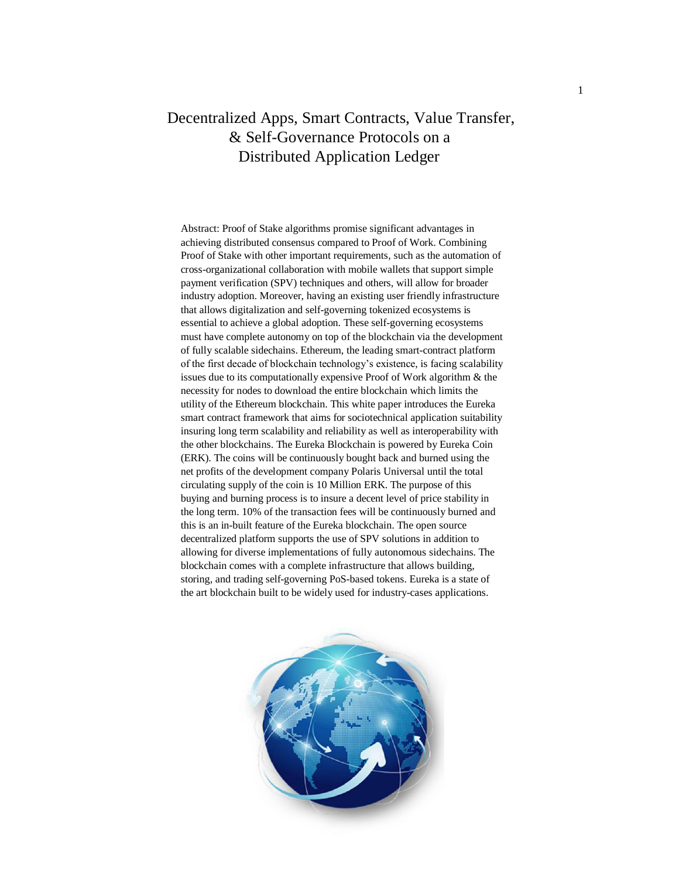# Decentralized Apps, Smart Contracts, Value Transfer, & Self-Governance Protocols on a Distributed Application Ledger

Abstract: Proof of Stake algorithms promise significant advantages in achieving distributed consensus compared to Proof of Work. Combining Proof of Stake with other important requirements, such as the automation of cross-organizational collaboration with mobile wallets that support simple payment verification (SPV) techniques and others, will allow for broader industry adoption. Moreover, having an existing user friendly infrastructure that allows digitalization and self-governing tokenized ecosystems is essential to achieve a global adoption. These self-governing ecosystems must have complete autonomy on top of the blockchain via the development of fully scalable sidechains. Ethereum, the leading smart-contract platform of the first decade of blockchain technology's existence, is facing scalability issues due to its computationally expensive Proof of Work algorithm & the necessity for nodes to download the entire blockchain which limits the utility of the Ethereum blockchain. This white paper introduces the Eureka smart contract framework that aims for sociotechnical application suitability insuring long term scalability and reliability as well as interoperability with the other blockchains. The Eureka Blockchain is powered by Eureka Coin (ERK). The coins will be continuously bought back and burned using the net profits of the development company Polaris Universal until the total circulating supply of the coin is 10 Million ERK. The purpose of this buying and burning process is to insure a decent level of price stability in the long term. 10% of the transaction fees will be continuously burned and this is an in-built feature of the Eureka blockchain. The open source decentralized platform supports the use of SPV solutions in addition to allowing for diverse implementations of fully autonomous sidechains. The blockchain comes with a complete infrastructure that allows building, storing, and trading self-governing PoS-based tokens. Eureka is a state of the art blockchain built to be widely used for industry-cases applications.

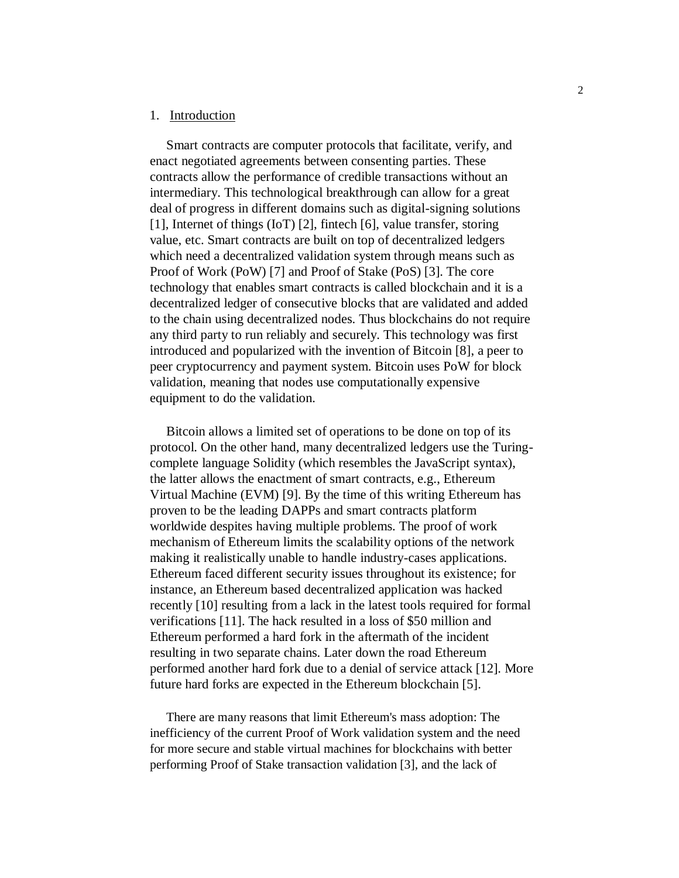# 1. Introduction

Smart contracts are computer protocols that facilitate, verify, and enact negotiated agreements between consenting parties. These contracts allow the performance of credible transactions without an intermediary. This technological breakthrough can allow for a great deal of progress in different domains such as digital-signing solutions [1], Internet of things (IoT) [2], fintech [6], value transfer, storing value, etc. Smart contracts are built on top of decentralized ledgers which need a decentralized validation system through means such as Proof of Work (PoW) [7] and Proof of Stake (PoS) [3]. The core technology that enables smart contracts is called blockchain and it is a decentralized ledger of consecutive blocks that are validated and added to the chain using decentralized nodes. Thus blockchains do not require any third party to run reliably and securely. This technology was first introduced and popularized with the invention of Bitcoin [8], a peer to peer cryptocurrency and payment system. Bitcoin uses PoW for block validation, meaning that nodes use computationally expensive equipment to do the validation.

Bitcoin allows a limited set of operations to be done on top of its protocol. On the other hand, many decentralized ledgers use the Turingcomplete language Solidity (which resembles the JavaScript syntax), the latter allows the enactment of smart contracts, e.g., Ethereum Virtual Machine (EVM) [9]. By the time of this writing Ethereum has proven to be the leading DAPPs and smart contracts platform worldwide despites having multiple problems. The proof of work mechanism of Ethereum limits the scalability options of the network making it realistically unable to handle industry-cases applications. Ethereum faced different security issues throughout its existence; for instance, an Ethereum based decentralized application was hacked recently [10] resulting from a lack in the latest tools required for formal verifications [11]. The hack resulted in a loss of \$50 million and Ethereum performed a hard fork in the aftermath of the incident resulting in two separate chains. Later down the road Ethereum performed another hard fork due to a denial of service attack [12]. More future hard forks are expected in the Ethereum blockchain [5].

There are many reasons that limit Ethereum's mass adoption: The inefficiency of the current Proof of Work validation system and the need for more secure and stable virtual machines for blockchains with better performing Proof of Stake transaction validation [3], and the lack of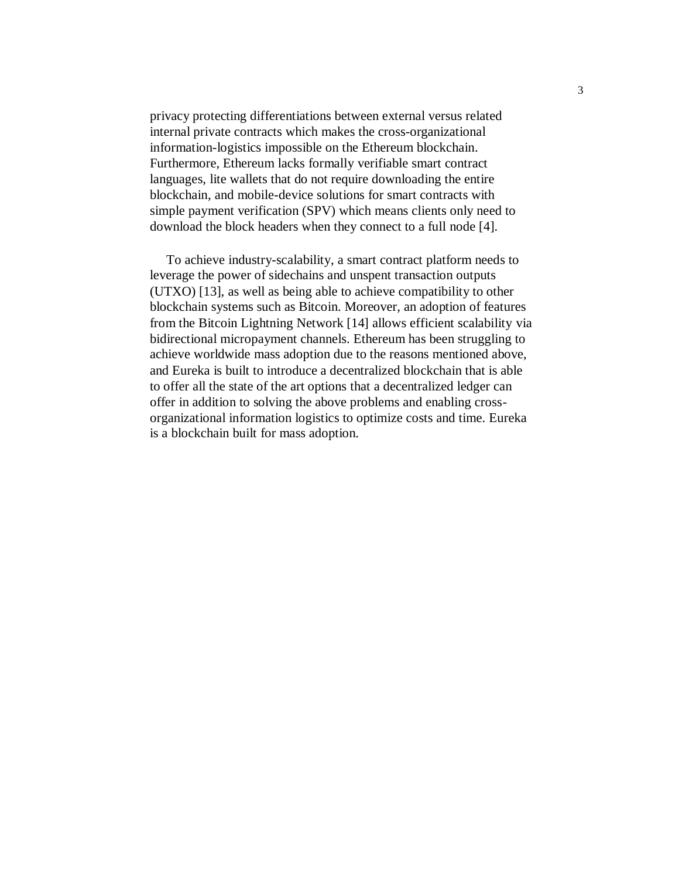privacy protecting differentiations between external versus related internal private contracts which makes the cross-organizational information-logistics impossible on the Ethereum blockchain. Furthermore, Ethereum lacks formally verifiable smart contract languages, lite wallets that do not require downloading the entire blockchain, and mobile-device solutions for smart contracts with simple payment verification (SPV) which means clients only need to download the block headers when they connect to a full node [4].

To achieve industry-scalability, a smart contract platform needs to leverage the power of sidechains and unspent transaction outputs (UTXO) [13], as well as being able to achieve compatibility to other blockchain systems such as Bitcoin. Moreover, an adoption of features from the Bitcoin Lightning Network [14] allows efficient scalability via bidirectional micropayment channels. Ethereum has been struggling to achieve worldwide mass adoption due to the reasons mentioned above, and Eureka is built to introduce a decentralized blockchain that is able to offer all the state of the art options that a decentralized ledger can offer in addition to solving the above problems and enabling crossorganizational information logistics to optimize costs and time. Eureka is a blockchain built for mass adoption.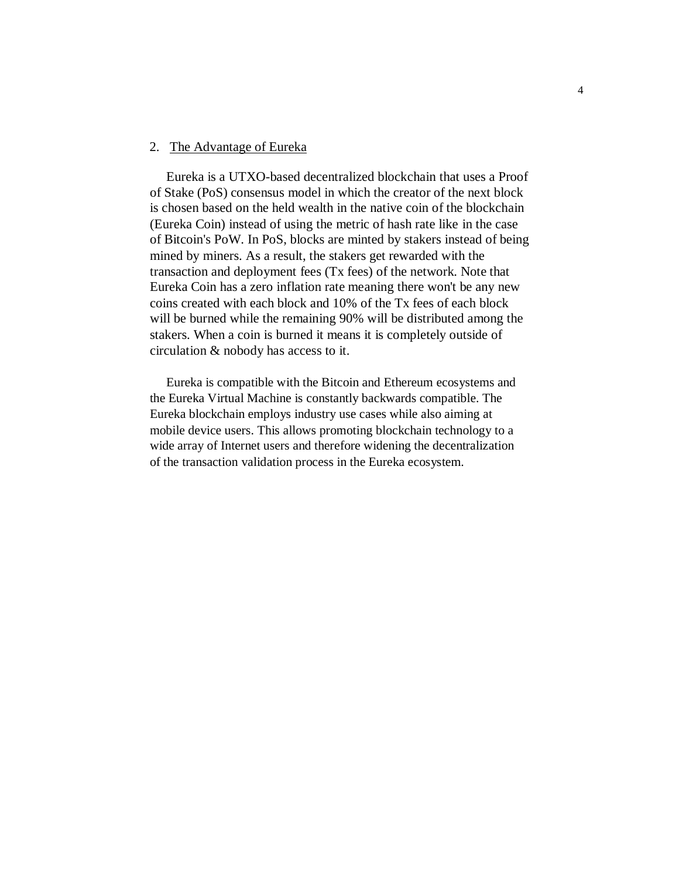### 2. The Advantage of Eureka

Eureka is a UTXO-based decentralized blockchain that uses a Proof of Stake (PoS) consensus model in which the creator of the next block is chosen based on the held wealth in the native coin of the blockchain (Eureka Coin) instead of using the metric of hash rate like in the case of Bitcoin's PoW. In PoS, blocks are minted by stakers instead of being mined by miners. As a result, the stakers get rewarded with the transaction and deployment fees (Tx fees) of the network. Note that Eureka Coin has a zero inflation rate meaning there won't be any new coins created with each block and 10% of the Tx fees of each block will be burned while the remaining 90% will be distributed among the stakers. When a coin is burned it means it is completely outside of circulation & nobody has access to it.

Eureka is compatible with the Bitcoin and Ethereum ecosystems and the Eureka Virtual Machine is constantly backwards compatible. The Eureka blockchain employs industry use cases while also aiming at mobile device users. This allows promoting blockchain technology to a wide array of Internet users and therefore widening the decentralization of the transaction validation process in the Eureka ecosystem.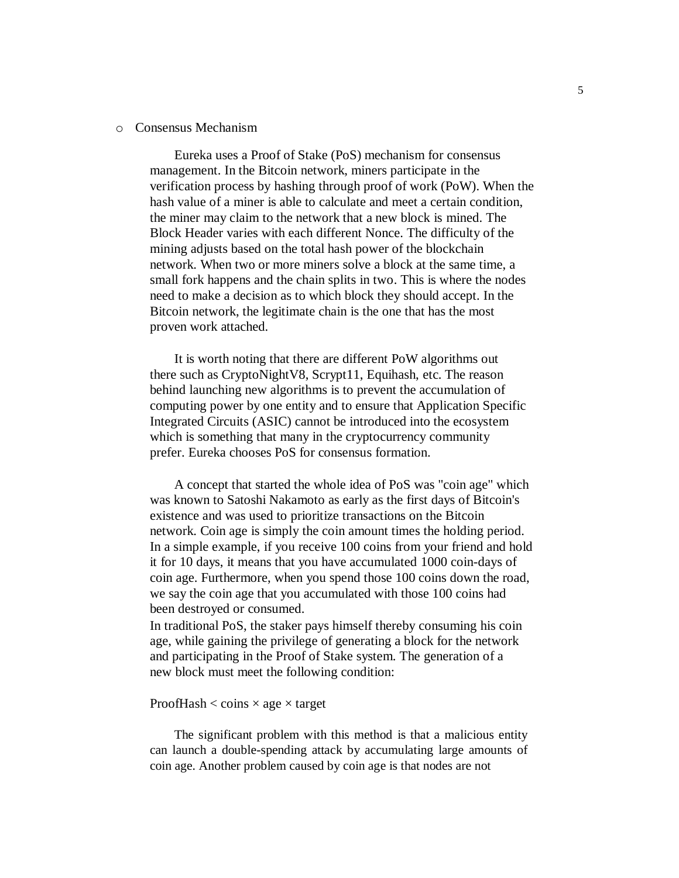#### o Consensus Mechanism

Eureka uses a Proof of Stake (PoS) mechanism for consensus management. In the Bitcoin network, miners participate in the verification process by hashing through proof of work (PoW). When the hash value of a miner is able to calculate and meet a certain condition, the miner may claim to the network that a new block is mined. The Block Header varies with each different Nonce. The difficulty of the mining adjusts based on the total hash power of the blockchain network. When two or more miners solve a block at the same time, a small fork happens and the chain splits in two. This is where the nodes need to make a decision as to which block they should accept. In the Bitcoin network, the legitimate chain is the one that has the most proven work attached.

It is worth noting that there are different PoW algorithms out there such as CryptoNightV8, Scrypt11, Equihash, etc. The reason behind launching new algorithms is to prevent the accumulation of computing power by one entity and to ensure that Application Specific Integrated Circuits (ASIC) cannot be introduced into the ecosystem which is something that many in the cryptocurrency community prefer. Eureka chooses PoS for consensus formation.

A concept that started the whole idea of PoS was "coin age" which was known to Satoshi Nakamoto as early as the first days of Bitcoin's existence and was used to prioritize transactions on the Bitcoin network. Coin age is simply the coin amount times the holding period. In a simple example, if you receive 100 coins from your friend and hold it for 10 days, it means that you have accumulated 1000 coin-days of coin age. Furthermore, when you spend those 100 coins down the road, we say the coin age that you accumulated with those 100 coins had been destroyed or consumed.

In traditional PoS, the staker pays himself thereby consuming his coin age, while gaining the privilege of generating a block for the network and participating in the Proof of Stake system. The generation of a new block must meet the following condition:

#### ProofHash  $<$  coins  $\times$  age  $\times$  target

The significant problem with this method is that a malicious entity can launch a double-spending attack by accumulating large amounts of coin age. Another problem caused by coin age is that nodes are not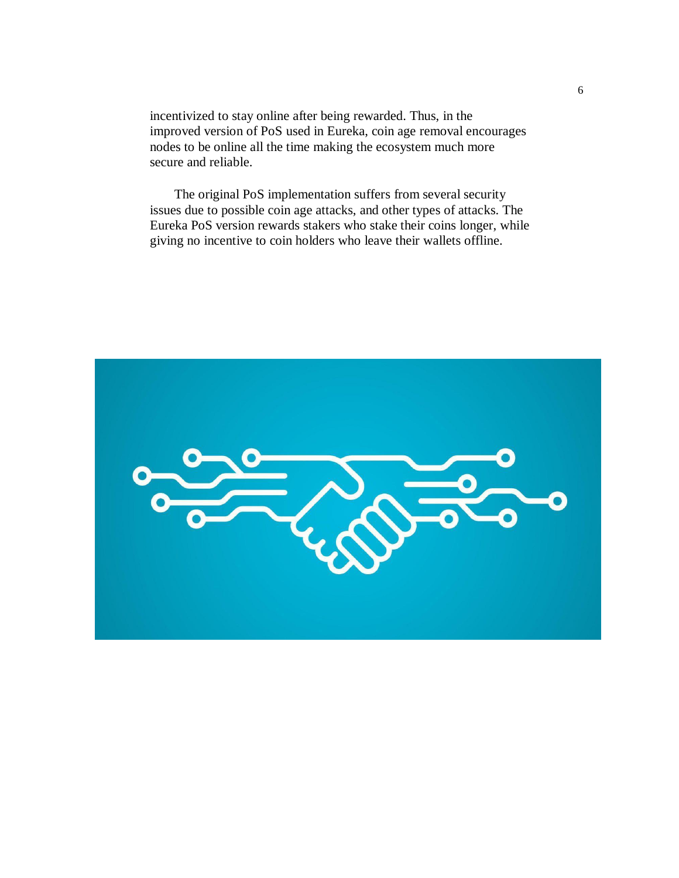incentivized to stay online after being rewarded. Thus, in the improved version of PoS used in Eureka, coin age removal encourages nodes to be online all the time making the ecosystem much more secure and reliable.

The original PoS implementation suffers from several security issues due to possible coin age attacks, and other types of attacks. The Eureka PoS version rewards stakers who stake their coins longer, while giving no incentive to coin holders who leave their wallets offline.

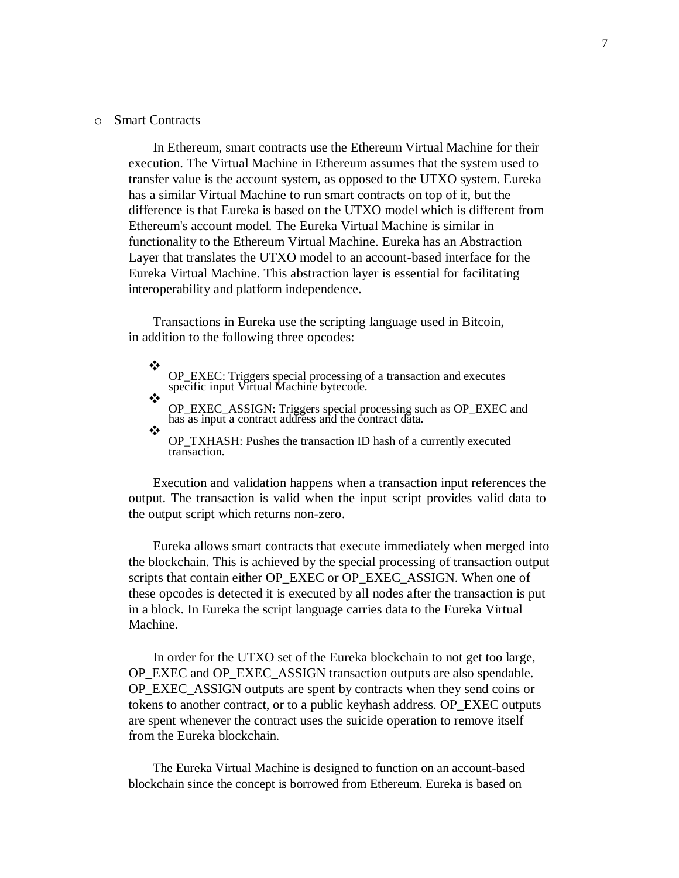#### o Smart Contracts

In Ethereum, smart contracts use the Ethereum Virtual Machine for their execution. The Virtual Machine in Ethereum assumes that the system used to transfer value is the account system, as opposed to the UTXO system. Eureka has a similar Virtual Machine to run smart contracts on top of it, but the difference is that Eureka is based on the UTXO model which is different from Ethereum's account model. The Eureka Virtual Machine is similar in functionality to the Ethereum Virtual Machine. Eureka has an Abstraction Layer that translates the UTXO model to an account-based interface for the Eureka Virtual Machine. This abstraction layer is essential for facilitating interoperability and platform independence.

Transactions in Eureka use the scripting language used in Bitcoin, in addition to the following three opcodes:

❖ OP\_EXEC: Triggers special processing of a transaction and executes specific input Virtual Machine bytecode.  $\frac{1}{2}$ 

OP\_EXEC\_ASSIGN: Triggers special processing such as OP\_EXEC and has as input a contract address and the contract data.  $\star^*$ 

OP\_TXHASH: Pushes the transaction ID hash of a currently executed transaction.

Execution and validation happens when a transaction input references the output. The transaction is valid when the input script provides valid data to the output script which returns non-zero.

Eureka allows smart contracts that execute immediately when merged into the blockchain. This is achieved by the special processing of transaction output scripts that contain either OP\_EXEC or OP\_EXEC\_ASSIGN. When one of these opcodes is detected it is executed by all nodes after the transaction is put in a block. In Eureka the script language carries data to the Eureka Virtual Machine.

In order for the UTXO set of the Eureka blockchain to not get too large, OP\_EXEC and OP\_EXEC\_ASSIGN transaction outputs are also spendable. OP\_EXEC\_ASSIGN outputs are spent by contracts when they send coins or tokens to another contract, or to a public keyhash address. OP\_EXEC outputs are spent whenever the contract uses the suicide operation to remove itself from the Eureka blockchain.

The Eureka Virtual Machine is designed to function on an account-based blockchain since the concept is borrowed from Ethereum. Eureka is based on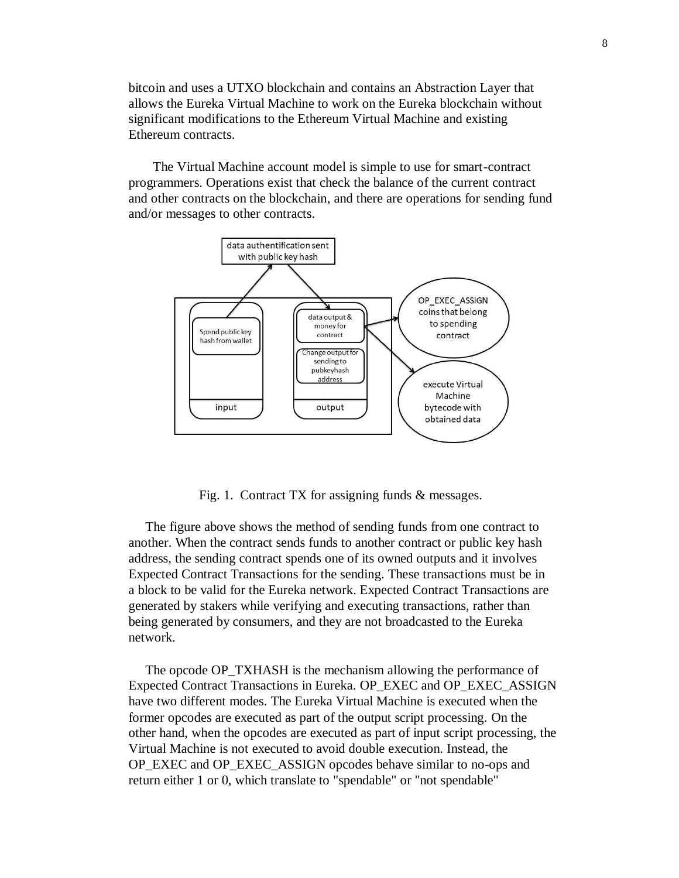bitcoin and uses a UTXO blockchain and contains an Abstraction Layer that allows the Eureka Virtual Machine to work on the Eureka blockchain without significant modifications to the Ethereum Virtual Machine and existing Ethereum contracts.

The Virtual Machine account model is simple to use for smart-contract programmers. Operations exist that check the balance of the current contract and other contracts on the blockchain, and there are operations for sending fund and/or messages to other contracts.



Fig. 1. Contract TX for assigning funds & messages.

The figure above shows the method of sending funds from one contract to another. When the contract sends funds to another contract or public key hash address, the sending contract spends one of its owned outputs and it involves Expected Contract Transactions for the sending. These transactions must be in a block to be valid for the Eureka network. Expected Contract Transactions are generated by stakers while verifying and executing transactions, rather than being generated by consumers, and they are not broadcasted to the Eureka network.

The opcode OP\_TXHASH is the mechanism allowing the performance of Expected Contract Transactions in Eureka. OP\_EXEC and OP\_EXEC\_ASSIGN have two different modes. The Eureka Virtual Machine is executed when the former opcodes are executed as part of the output script processing. On the other hand, when the opcodes are executed as part of input script processing, the Virtual Machine is not executed to avoid double execution. Instead, the OP\_EXEC and OP\_EXEC\_ASSIGN opcodes behave similar to no-ops and return either 1 or 0, which translate to "spendable" or "not spendable"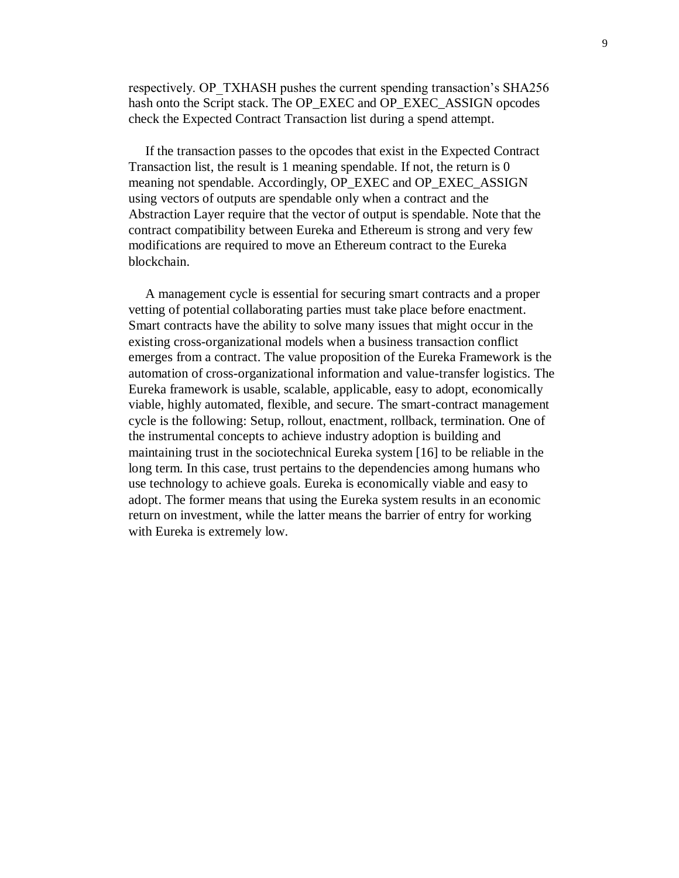respectively. OP\_TXHASH pushes the current spending transaction's SHA256 hash onto the Script stack. The OP\_EXEC and OP\_EXEC\_ASSIGN opcodes check the Expected Contract Transaction list during a spend attempt.

If the transaction passes to the opcodes that exist in the Expected Contract Transaction list, the result is 1 meaning spendable. If not, the return is 0 meaning not spendable. Accordingly, OP\_EXEC and OP\_EXEC\_ASSIGN using vectors of outputs are spendable only when a contract and the Abstraction Layer require that the vector of output is spendable. Note that the contract compatibility between Eureka and Ethereum is strong and very few modifications are required to move an Ethereum contract to the Eureka blockchain.

A management cycle is essential for securing smart contracts and a proper vetting of potential collaborating parties must take place before enactment. Smart contracts have the ability to solve many issues that might occur in the existing cross-organizational models when a business transaction conflict emerges from a contract. The value proposition of the Eureka Framework is the automation of cross-organizational information and value-transfer logistics. The Eureka framework is usable, scalable, applicable, easy to adopt, economically viable, highly automated, flexible, and secure. The smart-contract management cycle is the following: Setup, rollout, enactment, rollback, termination. One of the instrumental concepts to achieve industry adoption is building and maintaining trust in the sociotechnical Eureka system [16] to be reliable in the long term. In this case, trust pertains to the dependencies among humans who use technology to achieve goals. Eureka is economically viable and easy to adopt. The former means that using the Eureka system results in an economic return on investment, while the latter means the barrier of entry for working with Eureka is extremely low.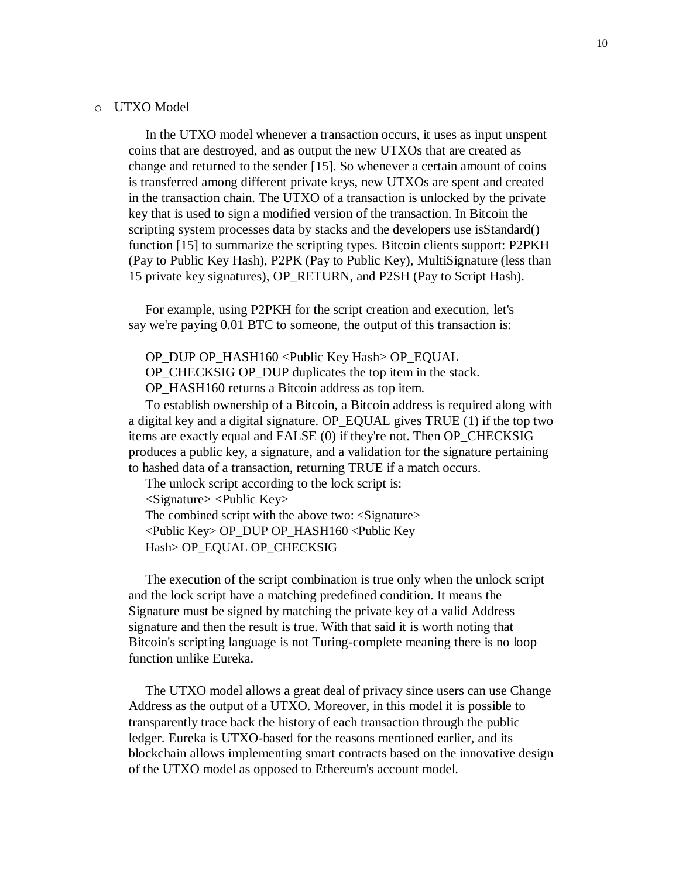#### o UTXO Model

In the UTXO model whenever a transaction occurs, it uses as input unspent coins that are destroyed, and as output the new UTXOs that are created as change and returned to the sender [15]. So whenever a certain amount of coins is transferred among different private keys, new UTXOs are spent and created in the transaction chain. The UTXO of a transaction is unlocked by the private key that is used to sign a modified version of the transaction. In Bitcoin the scripting system processes data by stacks and the developers use isStandard() function [15] to summarize the scripting types. Bitcoin clients support: P2PKH (Pay to Public Key Hash), P2PK (Pay to Public Key), MultiSignature (less than 15 private key signatures), OP\_RETURN, and P2SH (Pay to Script Hash).

For example, using P2PKH for the script creation and execution, let's say we're paying 0.01 BTC to someone, the output of this transaction is:

OP\_DUP OP\_HASH160 <Public Key Hash> OP\_EQUAL OP\_CHECKSIG OP\_DUP duplicates the top item in the stack. OP\_HASH160 returns a Bitcoin address as top item.

To establish ownership of a Bitcoin, a Bitcoin address is required along with a digital key and a digital signature. OP\_EQUAL gives TRUE (1) if the top two items are exactly equal and FALSE (0) if they're not. Then OP\_CHECKSIG produces a public key, a signature, and a validation for the signature pertaining to hashed data of a transaction, returning TRUE if a match occurs.

The unlock script according to the lock script is: <Signature> <Public Key> The combined script with the above two: <Signature> <Public Key> OP\_DUP OP\_HASH160 <Public Key Hash> OP\_EQUAL OP\_CHECKSIG

The execution of the script combination is true only when the unlock script and the lock script have a matching predefined condition. It means the Signature must be signed by matching the private key of a valid Address signature and then the result is true. With that said it is worth noting that Bitcoin's scripting language is not Turing-complete meaning there is no loop function unlike Eureka.

The UTXO model allows a great deal of privacy since users can use Change Address as the output of a UTXO. Moreover, in this model it is possible to transparently trace back the history of each transaction through the public ledger. Eureka is UTXO-based for the reasons mentioned earlier, and its blockchain allows implementing smart contracts based on the innovative design of the UTXO model as opposed to Ethereum's account model.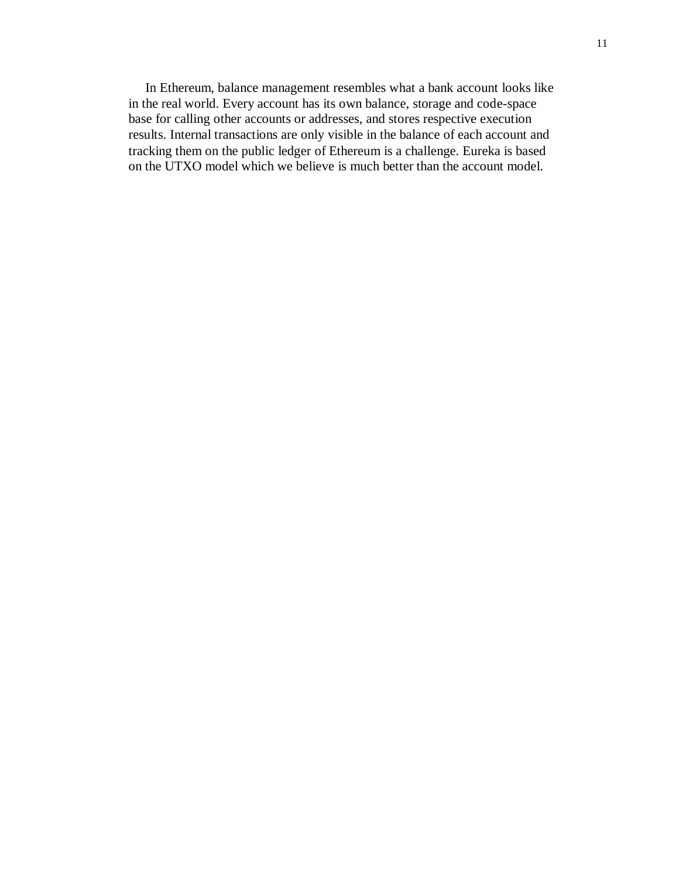In Ethereum, balance management resembles what a bank account looks like in the real world. Every account has its own balance, storage and code-space base for calling other accounts or addresses, and stores respective execution results. Internal transactions are only visible in the balance of each account and tracking them on the public ledger of Ethereum is a challenge. Eureka is based on the UTXO model which we believe is much better than the account model.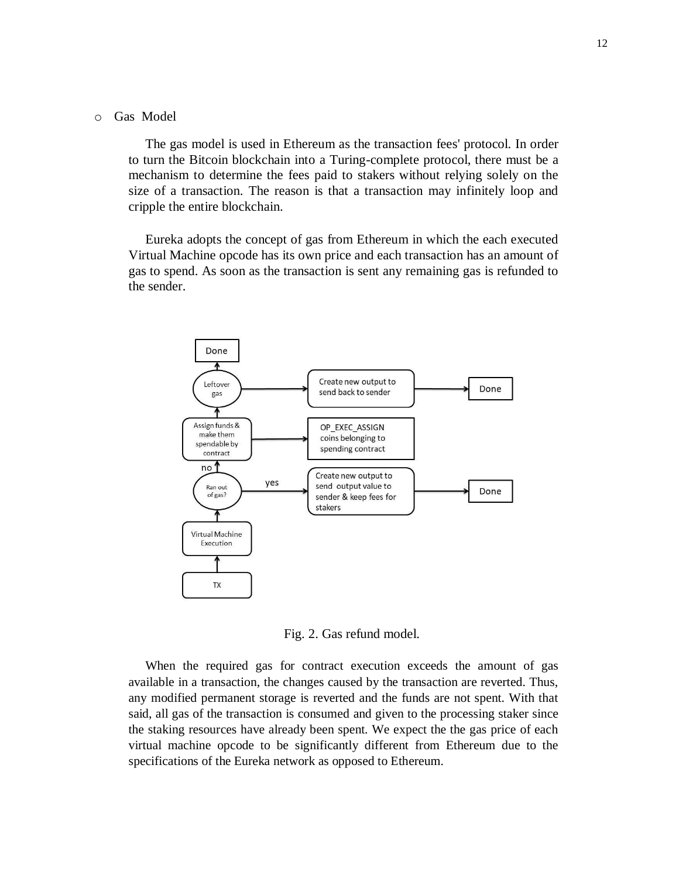### o Gas Model

The gas model is used in Ethereum as the transaction fees' protocol. In order to turn the Bitcoin blockchain into a Turing-complete protocol, there must be a mechanism to determine the fees paid to stakers without relying solely on the size of a transaction. The reason is that a transaction may infinitely loop and cripple the entire blockchain.

Eureka adopts the concept of gas from Ethereum in which the each executed Virtual Machine opcode has its own price and each transaction has an amount of gas to spend. As soon as the transaction is sent any remaining gas is refunded to the sender.



Fig. 2. Gas refund model.

When the required gas for contract execution exceeds the amount of gas available in a transaction, the changes caused by the transaction are reverted. Thus, any modified permanent storage is reverted and the funds are not spent. With that said, all gas of the transaction is consumed and given to the processing staker since the staking resources have already been spent. We expect the the gas price of each virtual machine opcode to be significantly different from Ethereum due to the specifications of the Eureka network as opposed to Ethereum.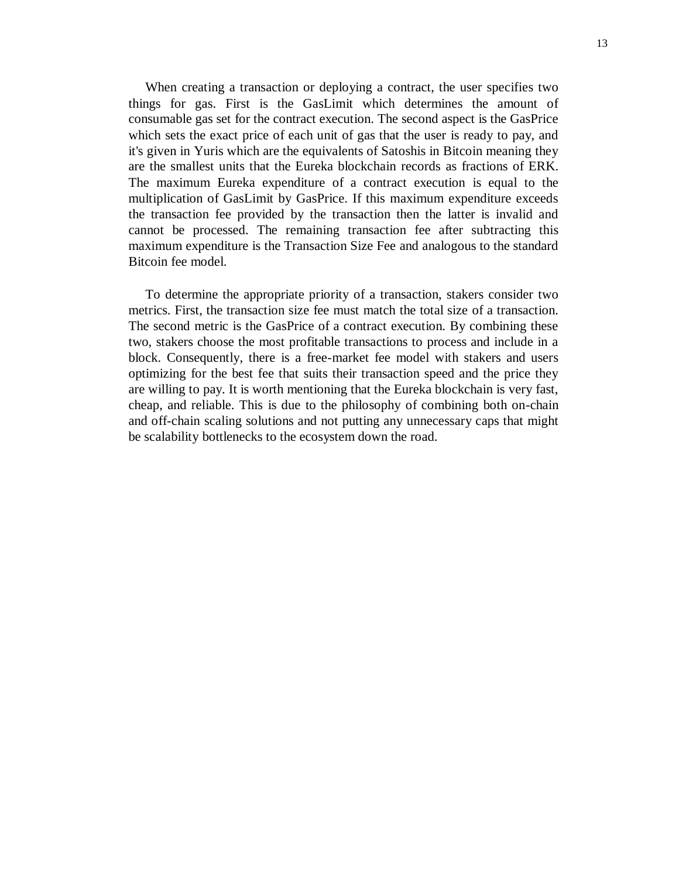When creating a transaction or deploying a contract, the user specifies two things for gas. First is the GasLimit which determines the amount of consumable gas set for the contract execution. The second aspect is the GasPrice which sets the exact price of each unit of gas that the user is ready to pay, and it's given in Yuris which are the equivalents of Satoshis in Bitcoin meaning they are the smallest units that the Eureka blockchain records as fractions of ERK. The maximum Eureka expenditure of a contract execution is equal to the multiplication of GasLimit by GasPrice. If this maximum expenditure exceeds the transaction fee provided by the transaction then the latter is invalid and cannot be processed. The remaining transaction fee after subtracting this maximum expenditure is the Transaction Size Fee and analogous to the standard Bitcoin fee model.

To determine the appropriate priority of a transaction, stakers consider two metrics. First, the transaction size fee must match the total size of a transaction. The second metric is the GasPrice of a contract execution. By combining these two, stakers choose the most profitable transactions to process and include in a block. Consequently, there is a free-market fee model with stakers and users optimizing for the best fee that suits their transaction speed and the price they are willing to pay. It is worth mentioning that the Eureka blockchain is very fast, cheap, and reliable. This is due to the philosophy of combining both on-chain and off-chain scaling solutions and not putting any unnecessary caps that might be scalability bottlenecks to the ecosystem down the road.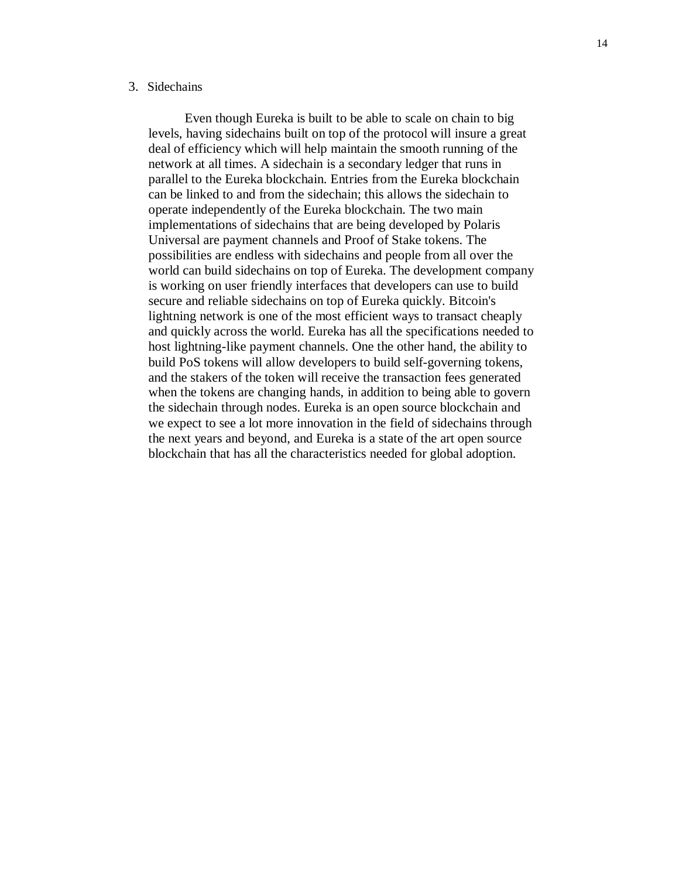### 3. Sidechains

Even though Eureka is built to be able to scale on chain to big levels, having sidechains built on top of the protocol will insure a great deal of efficiency which will help maintain the smooth running of the network at all times. A sidechain is a secondary ledger that runs in parallel to the Eureka blockchain. Entries from the Eureka blockchain can be linked to and from the sidechain; this allows the sidechain to operate independently of the Eureka blockchain. The two main implementations of sidechains that are being developed by Polaris Universal are payment channels and Proof of Stake tokens. The possibilities are endless with sidechains and people from all over the world can build sidechains on top of Eureka. The development company is working on user friendly interfaces that developers can use to build secure and reliable sidechains on top of Eureka quickly. Bitcoin's lightning network is one of the most efficient ways to transact cheaply and quickly across the world. Eureka has all the specifications needed to host lightning-like payment channels. One the other hand, the ability to build PoS tokens will allow developers to build self-governing tokens, and the stakers of the token will receive the transaction fees generated when the tokens are changing hands, in addition to being able to govern the sidechain through nodes. Eureka is an open source blockchain and we expect to see a lot more innovation in the field of sidechains through the next years and beyond, and Eureka is a state of the art open source blockchain that has all the characteristics needed for global adoption.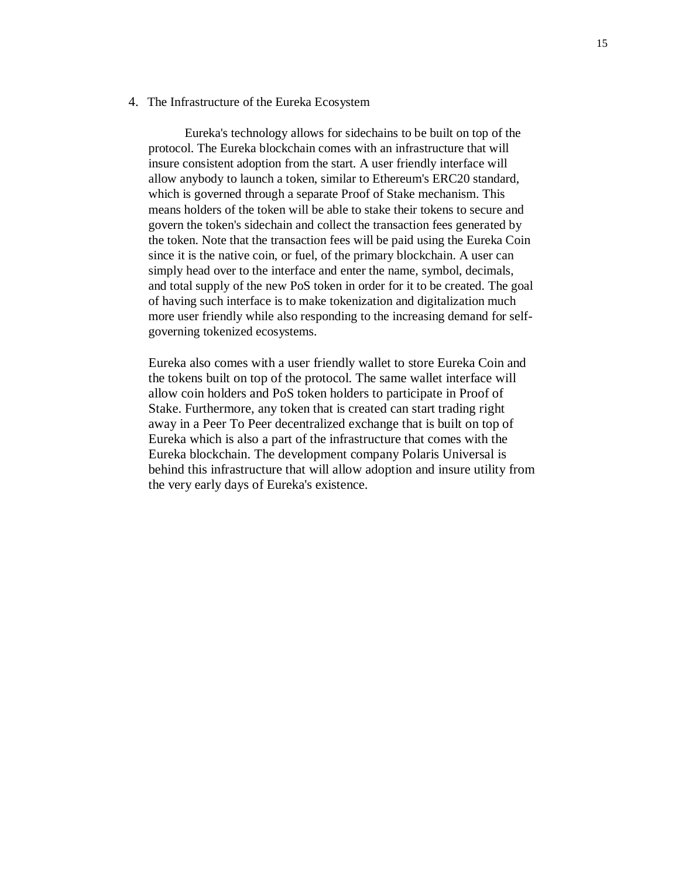#### 4. The Infrastructure of the Eureka Ecosystem

Eureka's technology allows for sidechains to be built on top of the protocol. The Eureka blockchain comes with an infrastructure that will insure consistent adoption from the start. A user friendly interface will allow anybody to launch a token, similar to Ethereum's ERC20 standard, which is governed through a separate Proof of Stake mechanism. This means holders of the token will be able to stake their tokens to secure and govern the token's sidechain and collect the transaction fees generated by the token. Note that the transaction fees will be paid using the Eureka Coin since it is the native coin, or fuel, of the primary blockchain. A user can simply head over to the interface and enter the name, symbol, decimals, and total supply of the new PoS token in order for it to be created. The goal of having such interface is to make tokenization and digitalization much more user friendly while also responding to the increasing demand for selfgoverning tokenized ecosystems.

Eureka also comes with a user friendly wallet to store Eureka Coin and the tokens built on top of the protocol. The same wallet interface will allow coin holders and PoS token holders to participate in Proof of Stake. Furthermore, any token that is created can start trading right away in a Peer To Peer decentralized exchange that is built on top of Eureka which is also a part of the infrastructure that comes with the Eureka blockchain. The development company Polaris Universal is behind this infrastructure that will allow adoption and insure utility from the very early days of Eureka's existence.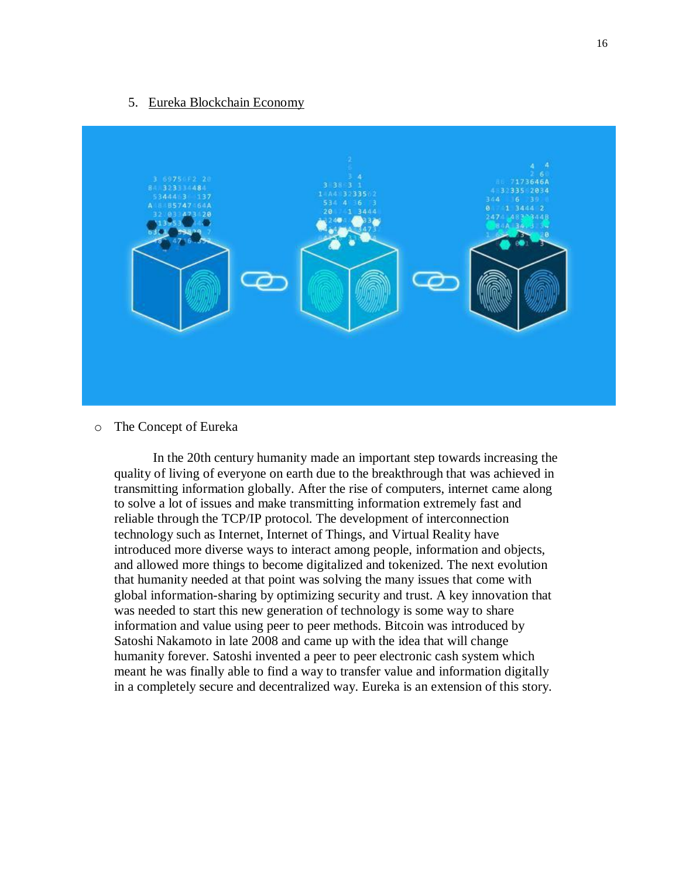#### 5. Eureka Blockchain Economy



o The Concept of Eureka

In the 20th century humanity made an important step towards increasing the quality of living of everyone on earth due to the breakthrough that was achieved in transmitting information globally. After the rise of computers, internet came along to solve a lot of issues and make transmitting information extremely fast and reliable through the TCP/IP protocol. The development of interconnection technology such as Internet, Internet of Things, and Virtual Reality have introduced more diverse ways to interact among people, information and objects, and allowed more things to become digitalized and tokenized. The next evolution that humanity needed at that point was solving the many issues that come with global information-sharing by optimizing security and trust. A key innovation that was needed to start this new generation of technology is some way to share information and value using peer to peer methods. Bitcoin was introduced by Satoshi Nakamoto in late 2008 and came up with the idea that will change humanity forever. Satoshi invented a peer to peer electronic cash system which meant he was finally able to find a way to transfer value and information digitally in a completely secure and decentralized way. Eureka is an extension of this story.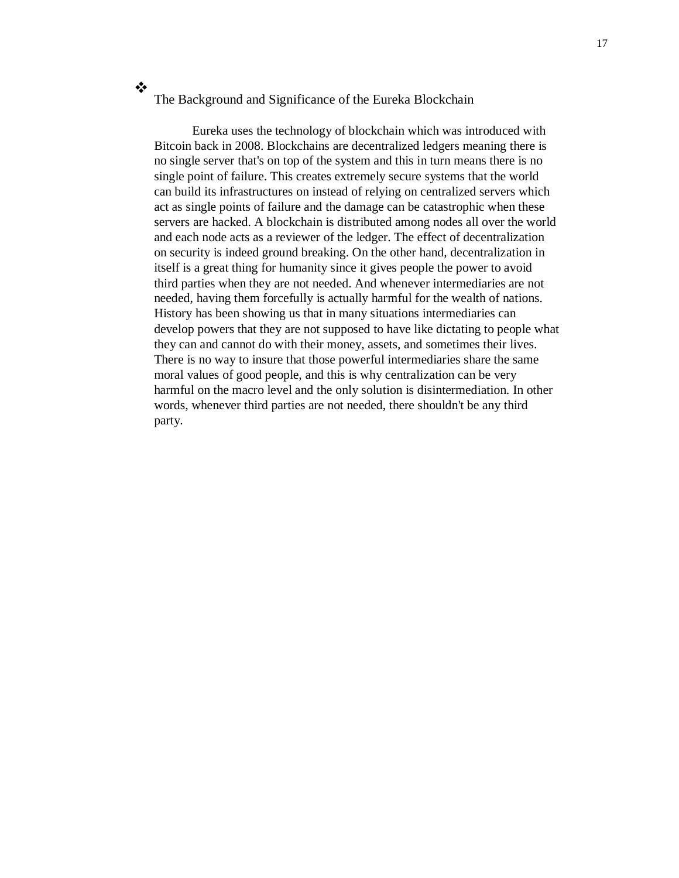#### $\frac{1}{2}$ The Background and Significance of the Eureka Blockchain

Eureka uses the technology of blockchain which was introduced with Bitcoin back in 2008. Blockchains are decentralized ledgers meaning there is no single server that's on top of the system and this in turn means there is no single point of failure. This creates extremely secure systems that the world can build its infrastructures on instead of relying on centralized servers which act as single points of failure and the damage can be catastrophic when these servers are hacked. A blockchain is distributed among nodes all over the world and each node acts as a reviewer of the ledger. The effect of decentralization on security is indeed ground breaking. On the other hand, decentralization in itself is a great thing for humanity since it gives people the power to avoid third parties when they are not needed. And whenever intermediaries are not needed, having them forcefully is actually harmful for the wealth of nations. History has been showing us that in many situations intermediaries can develop powers that they are not supposed to have like dictating to people what they can and cannot do with their money, assets, and sometimes their lives. There is no way to insure that those powerful intermediaries share the same moral values of good people, and this is why centralization can be very harmful on the macro level and the only solution is disintermediation. In other words, whenever third parties are not needed, there shouldn't be any third party.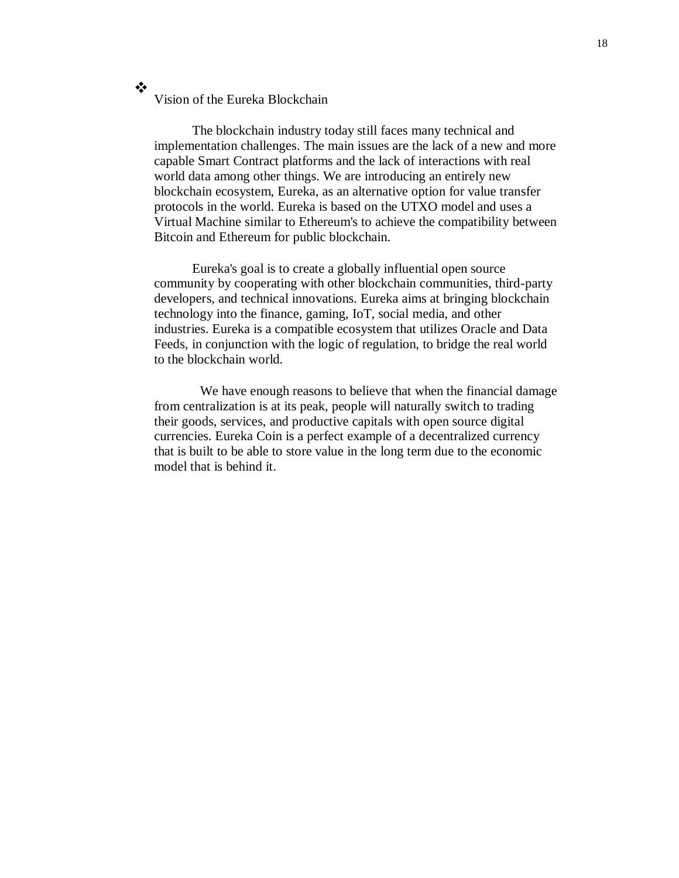# Vision of the Eureka Blockchain

❖

The blockchain industry today still faces many technical and implementation challenges. The main issues are the lack of a new and more capable Smart Contract platforms and the lack of interactions with real world data among other things. We are introducing an entirely new blockchain ecosystem, Eureka, as an alternative option for value transfer protocols in the world. Eureka is based on the UTXO model and uses a Virtual Machine similar to Ethereum's to achieve the compatibility between Bitcoin and Ethereum for public blockchain.

Eureka's goal is to create a globally influential open source community by cooperating with other blockchain communities, third-party developers, and technical innovations. Eureka aims at bringing blockchain technology into the finance, gaming, IoT, social media, and other industries. Eureka is a compatible ecosystem that utilizes Oracle and Data Feeds, in conjunction with the logic of regulation, to bridge the real world to the blockchain world.

We have enough reasons to believe that when the financial damage from centralization is at its peak, people will naturally switch to trading their goods, services, and productive capitals with open source digital currencies. Eureka Coin is a perfect example of a decentralized currency that is built to be able to store value in the long term due to the economic model that is behind it.

18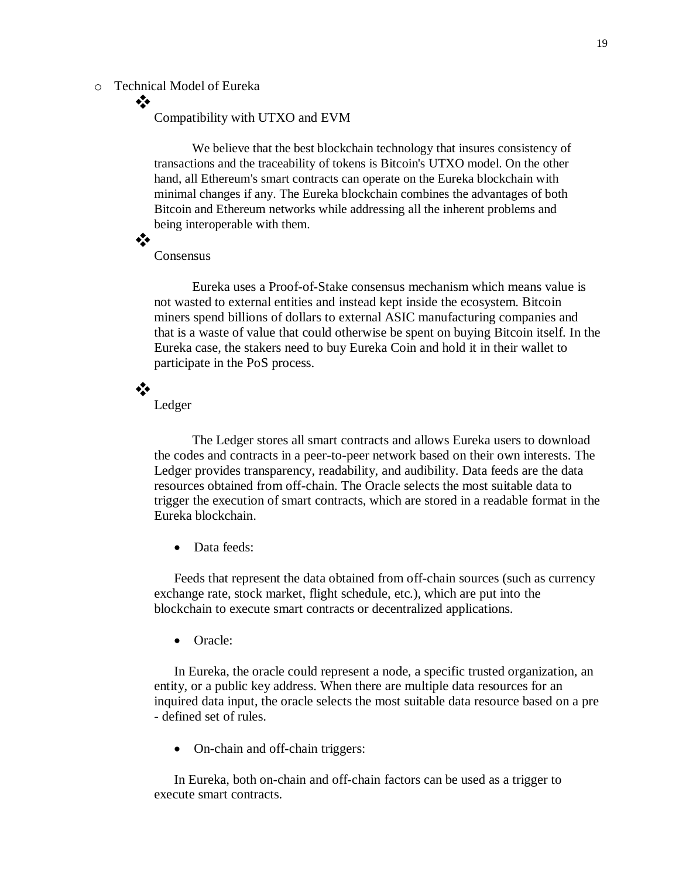# o Technical Model of Eureka

# Compatibility with UTXO and EVM

We believe that the best blockchain technology that insures consistency of transactions and the traceability of tokens is Bitcoin's UTXO model. On the other hand, all Ethereum's smart contracts can operate on the Eureka blockchain with minimal changes if any. The Eureka blockchain combines the advantages of both Bitcoin and Ethereum networks while addressing all the inherent problems and being interoperable with them.

❖

 $\frac{1}{2}$ 

# Consensus

Eureka uses a Proof-of-Stake consensus mechanism which means value is not wasted to external entities and instead kept inside the ecosystem. Bitcoin miners spend billions of dollars to external ASIC manufacturing companies and that is a waste of value that could otherwise be spent on buying Bitcoin itself. In the Eureka case, the stakers need to buy Eureka Coin and hold it in their wallet to participate in the PoS process.

 $\mathbf{v}^{\prime}_{\mathbf{x}}$ 

Ledger

The Ledger stores all smart contracts and allows Eureka users to download the codes and contracts in a peer-to-peer network based on their own interests. The Ledger provides transparency, readability, and audibility. Data feeds are the data resources obtained from off-chain. The Oracle selects the most suitable data to trigger the execution of smart contracts, which are stored in a readable format in the Eureka blockchain.

• Data feeds:

Feeds that represent the data obtained from off-chain sources (such as currency exchange rate, stock market, flight schedule, etc.), which are put into the blockchain to execute smart contracts or decentralized applications.

• Oracle:

In Eureka, the oracle could represent a node, a specific trusted organization, an entity, or a public key address. When there are multiple data resources for an inquired data input, the oracle selects the most suitable data resource based on a pre - defined set of rules.

• On-chain and off-chain triggers:

In Eureka, both on-chain and off-chain factors can be used as a trigger to execute smart contracts.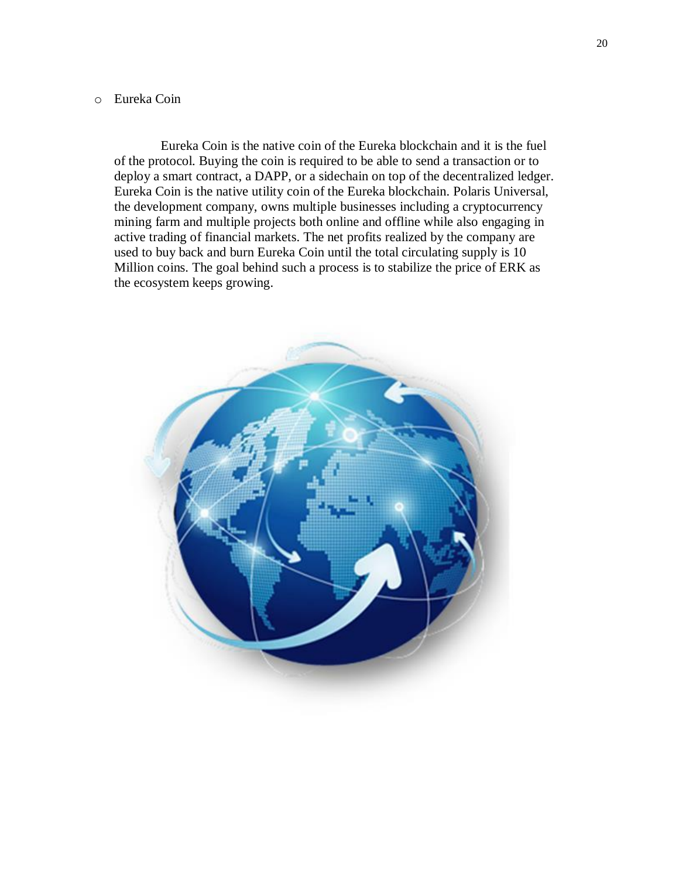# o Eureka Coin

Eureka Coin is the native coin of the Eureka blockchain and it is the fuel of the protocol. Buying the coin is required to be able to send a transaction or to deploy a smart contract, a DAPP, or a sidechain on top of the decentralized ledger. Eureka Coin is the native utility coin of the Eureka blockchain. Polaris Universal, the development company, owns multiple businesses including a cryptocurrency mining farm and multiple projects both online and offline while also engaging in active trading of financial markets. The net profits realized by the company are used to buy back and burn Eureka Coin until the total circulating supply is 10 Million coins. The goal behind such a process is to stabilize the price of ERK as the ecosystem keeps growing.

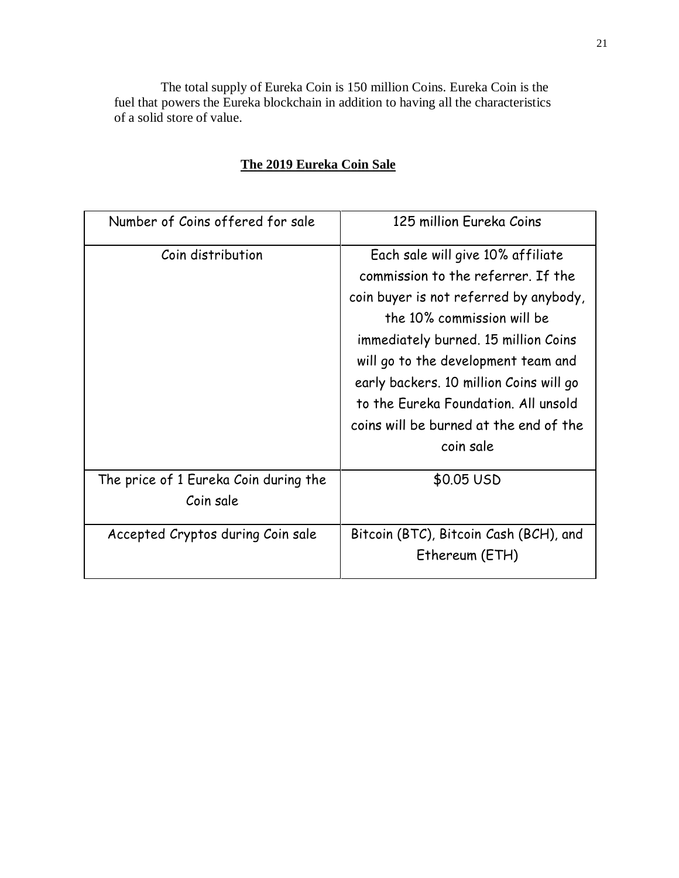The total supply of Eureka Coin is 150 million Coins. Eureka Coin is the fuel that powers the Eureka blockchain in addition to having all the characteristics of a solid store of value.

| Number of Coins offered for sale                   | 125 million Eureka Coins                |
|----------------------------------------------------|-----------------------------------------|
| Coin distribution                                  | Each sale will give 10% affiliate       |
|                                                    | commission to the referrer. If the      |
|                                                    | coin buyer is not referred by anybody,  |
|                                                    | the 10% commission will be              |
|                                                    | immediately burned. 15 million Coins    |
|                                                    | will go to the development team and     |
|                                                    | early backers. 10 million Coins will go |
|                                                    | to the Eureka Foundation. All unsold    |
|                                                    | coins will be burned at the end of the  |
|                                                    | coin sale                               |
| The price of 1 Eureka Coin during the<br>Coin sale | \$0.05 USD                              |
| Accepted Cryptos during Coin sale                  | Bitcoin (BTC), Bitcoin Cash (BCH), and  |
|                                                    | Ethereum (ETH)                          |

# **The 2019 Eureka Coin Sale**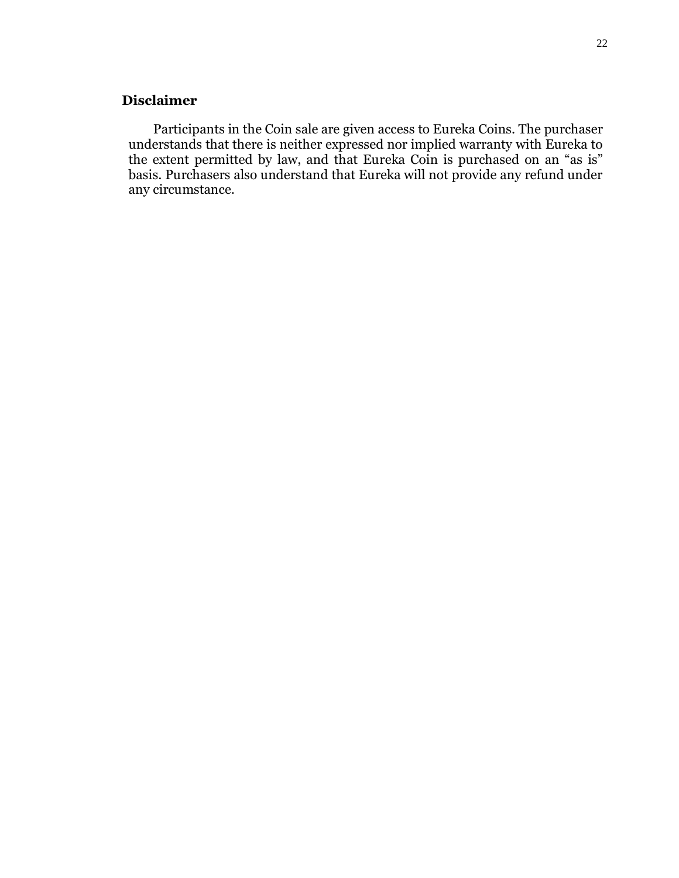# **Disclaimer**

Participants in the Coin sale are given access to Eureka Coins. The purchaser understands that there is neither expressed nor implied warranty with Eureka to the extent permitted by law, and that Eureka Coin is purchased on an "as is" basis. Purchasers also understand that Eureka will not provide any refund under any circumstance.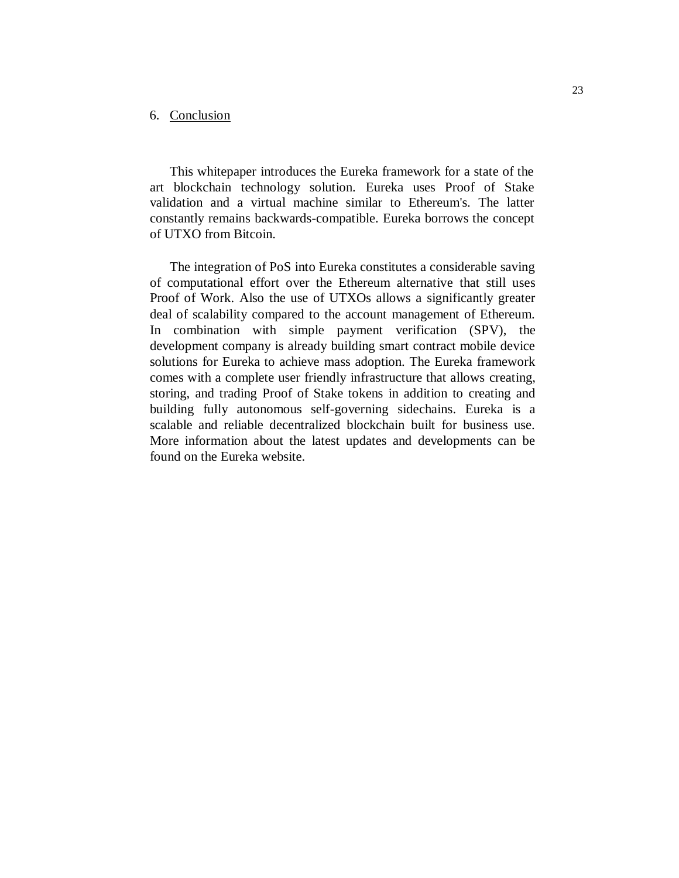# 6. Conclusion

This whitepaper introduces the Eureka framework for a state of the art blockchain technology solution. Eureka uses Proof of Stake validation and a virtual machine similar to Ethereum's. The latter constantly remains backwards-compatible. Eureka borrows the concept of UTXO from Bitcoin.

The integration of PoS into Eureka constitutes a considerable saving of computational effort over the Ethereum alternative that still uses Proof of Work. Also the use of UTXOs allows a significantly greater deal of scalability compared to the account management of Ethereum. In combination with simple payment verification (SPV), the development company is already building smart contract mobile device solutions for Eureka to achieve mass adoption. The Eureka framework comes with a complete user friendly infrastructure that allows creating, storing, and trading Proof of Stake tokens in addition to creating and building fully autonomous self-governing sidechains. Eureka is a scalable and reliable decentralized blockchain built for business use. More information about the latest updates and developments can be found on the Eureka website.